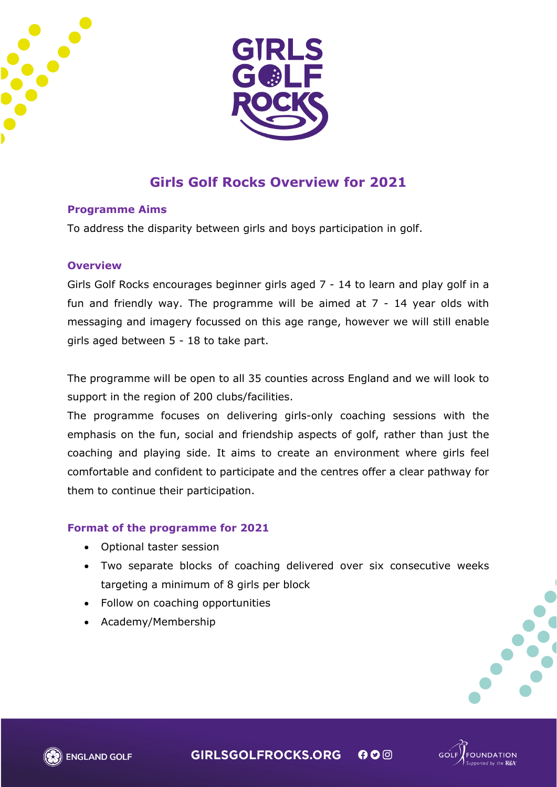



# **Girls Golf Rocks Overview for 2021**

#### **Programme Aims**

To address the disparity between girls and boys participation in golf.

#### **Overview**

Girls Golf Rocks encourages beginner girls aged 7 - 14 to learn and play golf in a fun and friendly way. The programme will be aimed at 7 - 14 year olds with messaging and imagery focussed on this age range, however we will still enable girls aged between 5 - 18 to take part.

The programme will be open to all 35 counties across England and we will look to support in the region of 200 clubs/facilities.

The programme focuses on delivering girls-only coaching sessions with the emphasis on the fun, social and friendship aspects of golf, rather than just the coaching and playing side. It aims to create an environment where girls feel comfortable and confident to participate and the centres offer a clear pathway for them to continue their participation.

#### **Format of the programme for 2021**

- Optional taster session
- Two separate blocks of coaching delivered over six consecutive weeks targeting a minimum of 8 girls per block
- Follow on coaching opportunities
- Academy/Membership



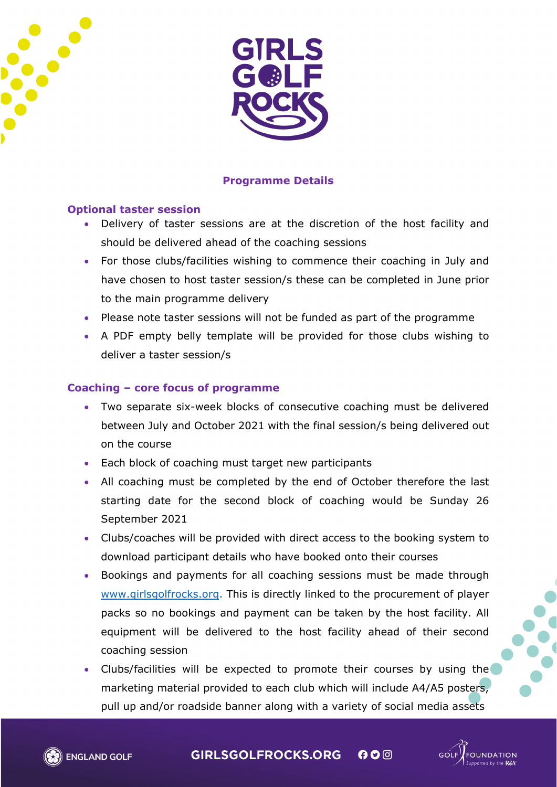



# **Programme Details**

## **Optional taster session**

- Delivery of taster sessions are at the discretion of the host facility and should be delivered ahead of the coaching sessions
- For those clubs/facilities wishing to commence their coaching in July and have chosen to host taster session/s these can be completed in June prior to the main programme delivery
- Please note taster sessions will not be funded as part of the programme
- A PDF empty belly template will be provided for those clubs wishing to deliver a taster session/s

# **Coaching – core focus of programme**

- Two separate six-week blocks of consecutive coaching must be delivered between July and October 2021 with the final session/s being delivered out on the course
- Each block of coaching must target new participants
- All coaching must be completed by the end of October therefore the last starting date for the second block of coaching would be Sunday 26 September 2021
- Clubs/coaches will be provided with direct access to the booking system to download participant details who have booked onto their courses
- Bookings and payments for all coaching sessions must be made through [www.girlsgolfrocks.org.](http://www.girlsgolfrocks.org/) This is directly linked to the procurement of player packs so no bookings and payment can be taken by the host facility. All equipment will be delivered to the host facility ahead of their second coaching session
- Clubs/facilities will be expected to promote their courses by using the marketing material provided to each club which will include A4/A5 posters, pull up and/or roadside banner along with a variety of social media assets

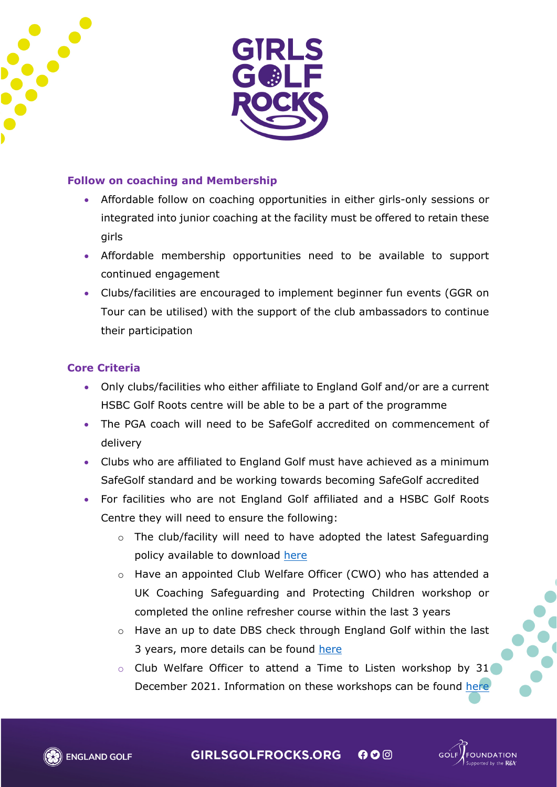



## **Follow on coaching and Membership**

- Affordable follow on coaching opportunities in either girls-only sessions or integrated into junior coaching at the facility must be offered to retain these girls
- Affordable membership opportunities need to be available to support continued engagement
- Clubs/facilities are encouraged to implement beginner fun events (GGR on Tour can be utilised) with the support of the club ambassadors to continue their participation

## **Core Criteria**

- Only clubs/facilities who either affiliate to England Golf and/or are a current HSBC Golf Roots centre will be able to be a part of the programme
- The PGA coach will need to be SafeGolf accredited on commencement of delivery
- Clubs who are affiliated to England Golf must have achieved as a minimum SafeGolf standard and be working towards becoming SafeGolf accredited
- For facilities who are not England Golf affiliated and a HSBC Golf Roots Centre they will need to ensure the following:
	- o The club/facility will need to have adopted the latest Safeguarding policy available to download [here](https://www.englandgolf.org/download/children-and-young-people-safeguarding-policy-and-procedures-club-template/)
	- o Have an appointed Club Welfare Officer (CWO) who has attended a UK Coaching Safeguarding and Protecting Children workshop or completed the online refresher course within the last 3 years
	- o Have an up to date DBS check through England Golf within the last 3 years, more details can be found [here](https://www.englandgolf.org/article/dbs/)
	- o Club Welfare Officer to attend a Time to Listen workshop by 31 December 2021. Information on these workshops can be found [here](https://www.englandgolf.org/article/time-to-listen-workshops/)